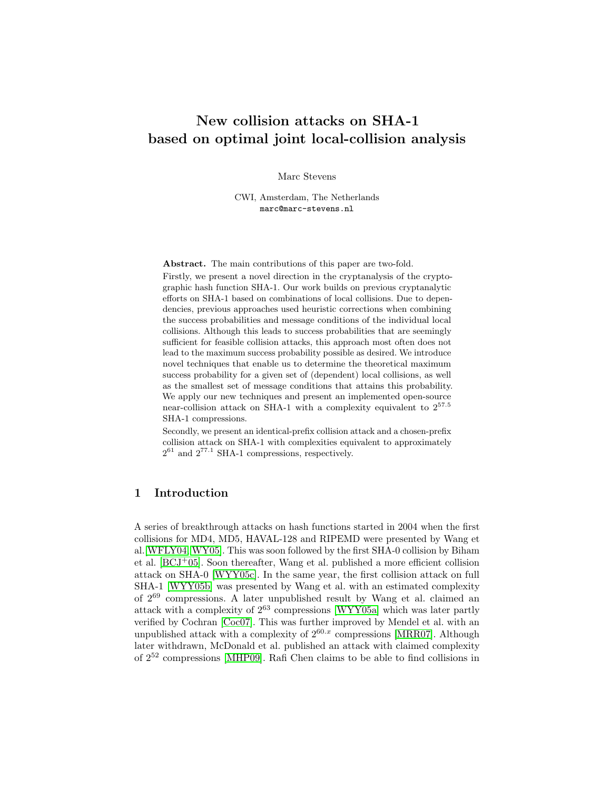# New collision attacks on SHA-1 based on optimal joint local-collision analysis

Marc Stevens

CWI, Amsterdam, The Netherlands marc@marc-stevens.nl

Abstract. The main contributions of this paper are two-fold.

Firstly, we present a novel direction in the cryptanalysis of the cryptographic hash function SHA-1. Our work builds on previous cryptanalytic efforts on SHA-1 based on combinations of local collisions. Due to dependencies, previous approaches used heuristic corrections when combining the success probabilities and message conditions of the individual local collisions. Although this leads to success probabilities that are seemingly sufficient for feasible collision attacks, this approach most often does not lead to the maximum success probability possible as desired. We introduce novel techniques that enable us to determine the theoretical maximum success probability for a given set of (dependent) local collisions, as well as the smallest set of message conditions that attains this probability. We apply our new techniques and present an implemented open-source near-collision attack on SHA-1 with a complexity equivalent to 2<sup>57</sup>.<sup>5</sup> SHA-1 compressions.

Secondly, we present an identical-prefix collision attack and a chosen-prefix collision attack on SHA-1 with complexities equivalent to approximately  $2^{61}$  and  $2^{77.1}$  SHA-1 compressions, respectively.

# 1 Introduction

A series of breakthrough attacks on hash functions started in 2004 when the first collisions for MD4, MD5, HAVAL-128 and RIPEMD were presented by Wang et al.[\[WFLY04,](#page-14-0) [WY05\]](#page-14-1). This was soon followed by the first SHA-0 collision by Biham et al.  $[BCJ^+05]$  $[BCJ^+05]$ . Soon thereafter, Wang et al. published a more efficient collision attack on SHA-0 [\[WYY05c\]](#page-14-2). In the same year, the first collision attack on full SHA-1 [\[WYY05b\]](#page-14-3) was presented by Wang et al. with an estimated complexity of 2<sup>69</sup> compressions. A later unpublished result by Wang et al. claimed an attack with a complexity of  $2^{63}$  compressions [\[WYY05a\]](#page-14-4) which was later partly verified by Cochran [\[Coc07\]](#page-13-1). This was further improved by Mendel et al. with an unpublished attack with a complexity of  $2^{60.x}$  compressions [\[MRR07\]](#page-14-5). Although later withdrawn, McDonald et al. published an attack with claimed complexity of  $2^{52}$  compressions [\[MHP09\]](#page-14-6). Rafi Chen claims to be able to find collisions in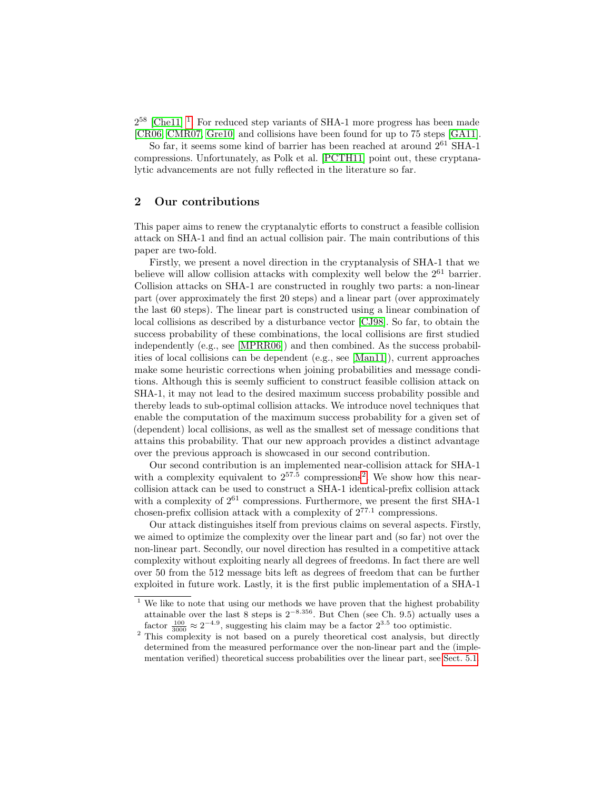$2^{58}$  [\[Che11\]](#page-13-2)<sup>[1](#page-1-0)</sup>. For reduced step variants of SHA-1 more progress has been made [\[CR06,](#page-13-3) [CMR07,](#page-13-4) [Gre10\]](#page-13-5) and collisions have been found for up to 75 steps [\[GA11\]](#page-13-6).

So far, it seems some kind of barrier has been reached at around  $2^{61}$  SHA-1 compressions. Unfortunately, as Polk et al. [\[PCTH11\]](#page-14-7) point out, these cryptanalytic advancements are not fully reflected in the literature so far.

### 2 Our contributions

This paper aims to renew the cryptanalytic efforts to construct a feasible collision attack on SHA-1 and find an actual collision pair. The main contributions of this paper are two-fold.

Firstly, we present a novel direction in the cryptanalysis of SHA-1 that we believe will allow collision attacks with complexity well below the  $2^{61}$  barrier. Collision attacks on SHA-1 are constructed in roughly two parts: a non-linear part (over approximately the first 20 steps) and a linear part (over approximately the last 60 steps). The linear part is constructed using a linear combination of local collisions as described by a disturbance vector [\[CJ98\]](#page-13-7). So far, to obtain the success probability of these combinations, the local collisions are first studied independently (e.g., see [\[MPRR06\]](#page-14-8)) and then combined. As the success probabilities of local collisions can be dependent (e.g., see [\[Man11\]](#page-14-9)), current approaches make some heuristic corrections when joining probabilities and message conditions. Although this is seemly sufficient to construct feasible collision attack on SHA-1, it may not lead to the desired maximum success probability possible and thereby leads to sub-optimal collision attacks. We introduce novel techniques that enable the computation of the maximum success probability for a given set of (dependent) local collisions, as well as the smallest set of message conditions that attains this probability. That our new approach provides a distinct advantage over the previous approach is showcased in our second contribution.

Our second contribution is an implemented near-collision attack for SHA-1 with a complexity equivalent to  $2^{57.5}$  $2^{57.5}$  compressions<sup>2</sup>. We show how this nearcollision attack can be used to construct a SHA-1 identical-prefix collision attack with a complexity of  $2^{61}$  compressions. Furthermore, we present the first SHA-1 chosen-prefix collision attack with a complexity of  $2^{77.1}$  compressions.

Our attack distinguishes itself from previous claims on several aspects. Firstly, we aimed to optimize the complexity over the linear part and (so far) not over the non-linear part. Secondly, our novel direction has resulted in a competitive attack complexity without exploiting nearly all degrees of freedoms. In fact there are well over 50 from the 512 message bits left as degrees of freedom that can be further exploited in future work. Lastly, it is the first public implementation of a SHA-1

<span id="page-1-0"></span> $1$  We like to note that using our methods we have proven that the highest probability attainable over the last 8 steps is  $2^{-8.356}$ . But Chen (see Ch. 9.5) actually uses a factor  $\frac{100}{3000} \approx 2^{-4.9}$ , suggesting his claim may be a factor  $2^{3.5}$  too optimistic.

<span id="page-1-1"></span><sup>&</sup>lt;sup>2</sup> This complexity is not based on a purely theoretical cost analysis, but directly determined from the measured performance over the non-linear part and the (implementation verified) theoretical success probabilities over the linear part, see [Sect. 5.1.](#page-8-0)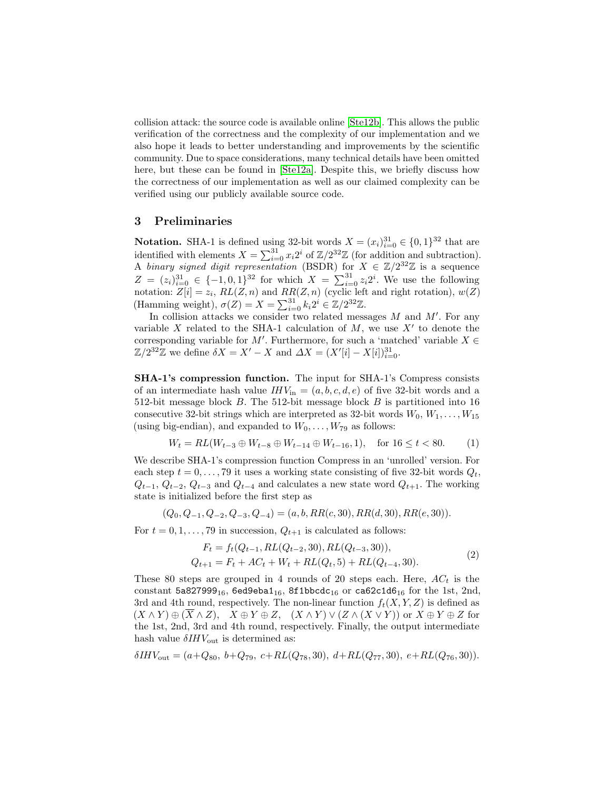collision attack: the source code is available online [\[Ste12b\]](#page-14-10). This allows the public verification of the correctness and the complexity of our implementation and we also hope it leads to better understanding and improvements by the scientific community. Due to space considerations, many technical details have been omitted here, but these can be found in [\[Ste12a\]](#page-14-11). Despite this, we briefly discuss how the correctness of our implementation as well as our claimed complexity can be verified using our publicly available source code.

# 3 Preliminaries

**Notation.** SHA-1 is defined using 32-bit words  $X = (x_i)_{i=0}^{31} \in \{0, 1\}^{32}$  that are identified with elements  $X = \sum_{i=0}^{31} x_i 2^i$  of  $\mathbb{Z}/2^{32}\mathbb{Z}$  (for addition and subtraction). A binary signed digit representation (BSDR) for  $X \in \mathbb{Z}/2^{32}\mathbb{Z}$  is a sequence  $Z = (z_i)_{i=0}^{31} \in \{-1,0,1\}^{32}$  for which  $X = \sum_{i=0}^{31} z_i 2^i$ . We use the following notation:  $Z[i] = z_i$ ,  $RL(Z, n)$  and  $RR(Z, n)$  (cyclic left and right rotation),  $w(Z)$ (Hamming weight),  $\sigma(Z) = X = \sum_{i=0}^{31} k_i 2^i \in \mathbb{Z}/2^{32} \mathbb{Z}$ .

In collision attacks we consider two related messages  $M$  and  $M'$ . For any variable X related to the SHA-1 calculation of  $M$ , we use  $X'$  to denote the corresponding variable for M'. Furthermore, for such a 'matched' variable  $X \in$  $\mathbb{Z}/2^{32}\mathbb{Z}$  we define  $\delta X = X' - X$  and  $\Delta X = (X'[i] - X[i])_{i=0}^{31}$ .

SHA-1's compression function. The input for SHA-1's Compress consists of an intermediate hash value  $IHV_{\text{in}} = (a, b, c, d, e)$  of five 32-bit words and a 512-bit message block B. The 512-bit message block B is partitioned into 16 consecutive 32-bit strings which are interpreted as 32-bit words  $W_0, W_1, \ldots, W_{15}$ (using big-endian), and expanded to  $W_0, \ldots, W_{79}$  as follows:

<span id="page-2-0"></span>
$$
W_t = RL(W_{t-3} \oplus W_{t-8} \oplus W_{t-14} \oplus W_{t-16}, 1), \quad \text{for } 16 \le t < 80. \tag{1}
$$

We describe SHA-1's compression function Compress in an 'unrolled' version. For each step  $t = 0, \ldots, 79$  it uses a working state consisting of five 32-bit words  $Q_t$ ,  $Q_{t-1}, Q_{t-2}, Q_{t-3}$  and  $Q_{t-4}$  and calculates a new state word  $Q_{t+1}$ . The working state is initialized before the first step as

$$
(Q_0, Q_{-1}, Q_{-2}, Q_{-3}, Q_{-4}) = (a, b, RR(c, 30), RR(d, 30), RR(e, 30)).
$$

For  $t = 0, 1, \ldots, 79$  in succession,  $Q_{t+1}$  is calculated as follows:

<span id="page-2-1"></span>
$$
F_t = f_t(Q_{t-1}, RL(Q_{t-2}, 30), RL(Q_{t-3}, 30)),
$$
  
\n
$$
Q_{t+1} = F_t + AC_t + W_t + RL(Q_t, 5) + RL(Q_{t-4}, 30).
$$
\n(2)

These 80 steps are grouped in 4 rounds of 20 steps each. Here,  $AC<sub>t</sub>$  is the constant  $5a827999_{16}$ ,  $6e49eba1_{16}$ ,  $8f1bbc dc_{16}$  or  $ca62c1d6_{16}$  for the 1st, 2nd, 3rd and 4th round, respectively. The non-linear function  $f_t(X, Y, Z)$  is defined as  $(X \wedge Y) \oplus (\overline{X} \wedge Z), \quad X \oplus Y \oplus Z, \quad (X \wedge Y) \vee (Z \wedge (X \vee Y))$  or  $X \oplus Y \oplus Z$  for the 1st, 2nd, 3rd and 4th round, respectively. Finally, the output intermediate hash value  $\delta I H V_{\text{out}}$  is determined as:

$$
\delta IHV_{\text{out}} = (a+Q_{80}, \ b+Q_{79}, \ c+RL(Q_{78}, 30), \ d+RL(Q_{77}, 30), \ e+RL(Q_{76}, 30)).
$$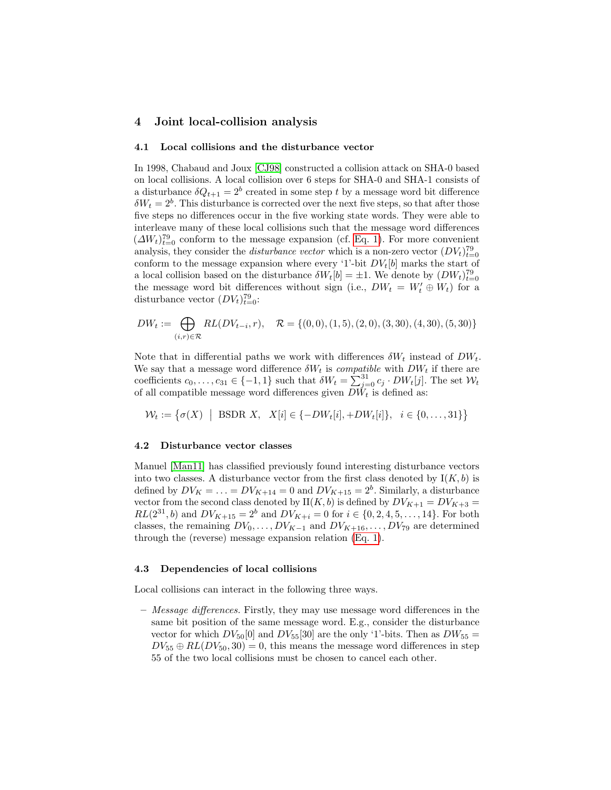### <span id="page-3-0"></span>4 Joint local-collision analysis

#### 4.1 Local collisions and the disturbance vector

In 1998, Chabaud and Joux [\[CJ98\]](#page-13-7) constructed a collision attack on SHA-0 based on local collisions. A local collision over 6 steps for SHA-0 and SHA-1 consists of a disturbance  $\delta Q_{t+1} = 2^b$  created in some step t by a message word bit difference  $\delta W_t = 2^b$ . This disturbance is corrected over the next five steps, so that after those five steps no differences occur in the five working state words. They were able to interleave many of these local collisions such that the message word differences  $(\Delta W_t)_{t=0}^{79}$  conform to the message expansion (cf. [Eq. 1\)](#page-2-0). For more convenient analysis, they consider the *disturbance vector* which is a non-zero vector  $(DV_t)_{t=0}^{79}$ conform to the message expansion where every '1'-bit  $DV_t[b]$  marks the start of a local collision based on the disturbance  $\delta W_t[b] = \pm 1$ . We denote by  $(DW_t)_{t=0}^{79}$ the message word bit differences without sign (i.e.,  $DW_t = W'_t \oplus W_t$ ) for a disturbance vector  $(DV_t)_{t=0}^{79}$ :

$$
DW_t := \bigoplus_{(i,r)\in\mathcal{R}} RL(DV_{t-i}, r), \quad \mathcal{R} = \{(0,0), (1,5), (2,0), (3,30), (4,30), (5,30)\}
$$

Note that in differential paths we work with differences  $\delta W_t$  instead of  $DW_t$ . We say that a message word difference  $\delta W_t$  is *compatible* with  $DW_t$  if there are coefficients  $c_0, \ldots, c_{31} \in \{-1, 1\}$  such that  $\delta W_t = \sum_{j=0}^{31} c_j \cdot DW_t[j]$ . The set  $W_t$ of all compatible message word differences given  $DW_t$  is defined as:

$$
\mathcal{W}_t := \{ \sigma(X) \mid \text{BSDR } X, \ X[i] \in \{-DW_t[i], +DW_t[i]\}, \ i \in \{0, \dots, 31\} \}
$$

#### 4.2 Disturbance vector classes

Manuel [\[Man11\]](#page-14-9) has classified previously found interesting disturbance vectors into two classes. A disturbance vector from the first class denoted by  $I(K, b)$  is defined by  $DV_K = \ldots = DV_{K+14} = 0$  and  $DV_{K+15} = 2^b$ . Similarly, a disturbance vector from the second class denoted by  $II(K, b)$  is defined by  $DV_{K+1} = DV_{K+3}$  $RL(2^{31}, b)$  and  $DV_{K+15} = 2^b$  and  $DV_{K+i} = 0$  for  $i \in \{0, 2, 4, 5, \ldots, 14\}$ . For both classes, the remaining  $DV_0, \ldots, DV_{K-1}$  and  $DV_{K+16}, \ldots, DV_{79}$  are determined through the (reverse) message expansion relation [\(Eq. 1\)](#page-2-0).

#### 4.3 Dependencies of local collisions

Local collisions can interact in the following three ways.

 $-$  *Message differences.* Firstly, they may use message word differences in the same bit position of the same message word. E.g., consider the disturbance vector for which  $DV_{50}[0]$  and  $DV_{55}[30]$  are the only '1'-bits. Then as  $DW_{55}$  =  $DV_{55} \oplus RL(DV_{50}, 30) = 0$ , this means the message word differences in step 55 of the two local collisions must be chosen to cancel each other.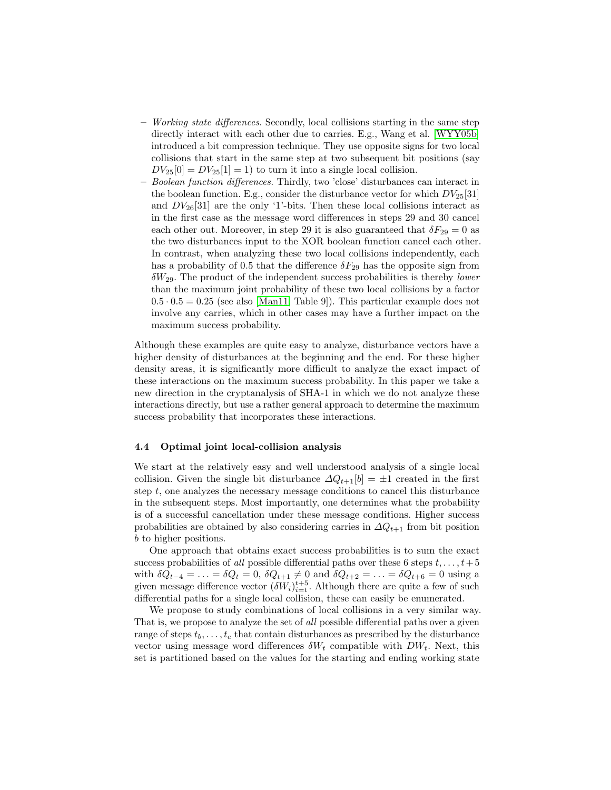- Working state differences. Secondly, local collisions starting in the same step directly interact with each other due to carries. E.g., Wang et al. [\[WYY05b\]](#page-14-3) introduced a bit compression technique. They use opposite signs for two local collisions that start in the same step at two subsequent bit positions (say  $DV_{25}[0] = DV_{25}[1] = 1$ ) to turn it into a single local collision.
- Boolean function differences. Thirdly, two 'close' disturbances can interact in the boolean function. E.g., consider the disturbance vector for which  $DV_{25}[31]$ and  $DV_{26}[31]$  are the only '1'-bits. Then these local collisions interact as in the first case as the message word differences in steps 29 and 30 cancel each other out. Moreover, in step 29 it is also guaranteed that  $\delta F_{29} = 0$  as the two disturbances input to the XOR boolean function cancel each other. In contrast, when analyzing these two local collisions independently, each has a probability of 0.5 that the difference  $\delta F_{29}$  has the opposite sign from  $\delta W_{29}$ . The product of the independent success probabilities is thereby lower than the maximum joint probability of these two local collisions by a factor  $0.5 \cdot 0.5 = 0.25$  (see also [\[Man11,](#page-14-9) Table 9]). This particular example does not involve any carries, which in other cases may have a further impact on the maximum success probability.

Although these examples are quite easy to analyze, disturbance vectors have a higher density of disturbances at the beginning and the end. For these higher density areas, it is significantly more difficult to analyze the exact impact of these interactions on the maximum success probability. In this paper we take a new direction in the cryptanalysis of SHA-1 in which we do not analyze these interactions directly, but use a rather general approach to determine the maximum success probability that incorporates these interactions.

#### 4.4 Optimal joint local-collision analysis

We start at the relatively easy and well understood analysis of a single local collision. Given the single bit disturbance  $\Delta Q_{t+1}[b] = \pm 1$  created in the first step t, one analyzes the necessary message conditions to cancel this disturbance in the subsequent steps. Most importantly, one determines what the probability is of a successful cancellation under these message conditions. Higher success probabilities are obtained by also considering carries in  $\Delta Q_{t+1}$  from bit position b to higher positions.

One approach that obtains exact success probabilities is to sum the exact success probabilities of all possible differential paths over these 6 steps  $t, \ldots, t+5$ with  $\delta Q_{t-4} = \ldots = \delta Q_t = 0$ ,  $\delta Q_{t+1} \neq 0$  and  $\delta Q_{t+2} = \ldots = \delta Q_{t+6} = 0$  using a given message difference vector  $(\delta W_i)_{i=t}^{t+5}$ . Although there are quite a few of such differential paths for a single local collision, these can easily be enumerated.

We propose to study combinations of local collisions in a very similar way. That is, we propose to analyze the set of all possible differential paths over a given range of steps  $t_b, \ldots, t_e$  that contain disturbances as prescribed by the disturbance vector using message word differences  $\delta W_t$  compatible with  $DW_t$ . Next, this set is partitioned based on the values for the starting and ending working state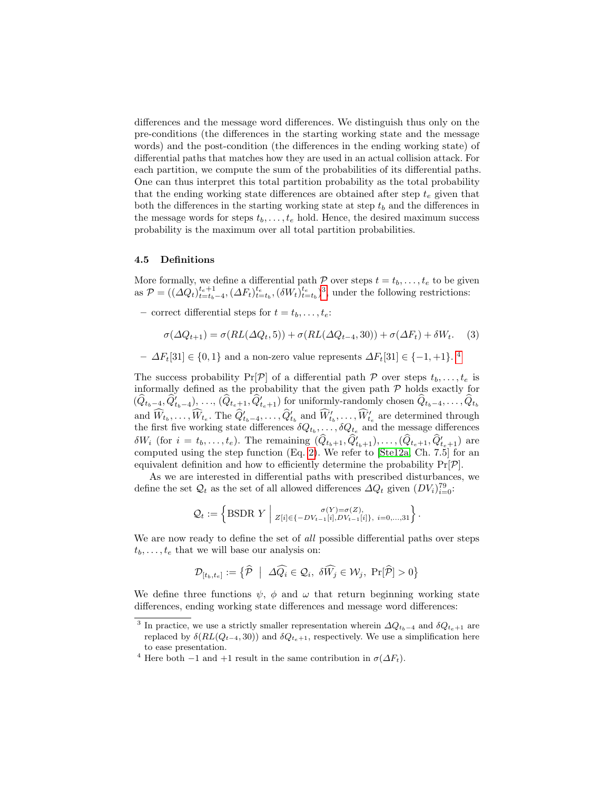differences and the message word differences. We distinguish thus only on the pre-conditions (the differences in the starting working state and the message words) and the post-condition (the differences in the ending working state) of differential paths that matches how they are used in an actual collision attack. For each partition, we compute the sum of the probabilities of its differential paths. One can thus interpret this total partition probability as the total probability that the ending working state differences are obtained after step  $t_e$  given that both the differences in the starting working state at step  $t<sub>b</sub>$  and the differences in the message words for steps  $t_b, \ldots, t_e$  hold. Hence, the desired maximum success probability is the maximum over all total partition probabilities.

#### 4.5 Definitions

More formally, we define a differential path  $P$  over steps  $t = t_b, \ldots, t_e$  to be given as  $\mathcal{P} = ((\Delta Q_t)_{t=t_b-4}^{t_e+1}, (\Delta F_t)_{t=t_b}^{t_e}, (\delta W_t)_{t=t_b}^{t_e})^3$  $\mathcal{P} = ((\Delta Q_t)_{t=t_b-4}^{t_e+1}, (\Delta F_t)_{t=t_b}^{t_e}, (\delta W_t)_{t=t_b}^{t_e})^3$ , under the following restrictions:

– correct differential steps for  $t = t_b, \ldots, t_e$ :

$$
\sigma(\Delta Q_{t+1}) = \sigma(RL(\Delta Q_t, 5)) + \sigma(RL(\Delta Q_{t-4}, 30)) + \sigma(\Delta F_t) + \delta W_t.
$$
 (3)

–  $\Delta F_t[31] \in \{0,1\}$  and a non-zero value represents  $\Delta F_t[31] \in \{-1,+1\}$ . <sup>[4](#page-5-1)</sup>

The success probability  $Pr[\mathcal{P}]$  of a differential path  $\mathcal{P}$  over steps  $t_b, \ldots, t_e$  is informally defined as the probability that the given path  $P$  holds exactly for  $(\widehat{Q}_{t_b-4}, \widehat{Q}_{t_b-4}'), \ldots, (\widehat{Q}_{t_e+1}, \widehat{Q}_{t_e+1}')$  for uniformly-randomly chosen  $\widehat{Q}_{t_b-4}, \ldots, \widehat{Q}_{t_b}$ and  $\widehat{W}_{t_b}, \ldots, \widehat{W}_{t_e}$ . The  $\widehat{Q}_{t_b-4}^{\prime}, \ldots, \widehat{Q}_{t_b}^{\prime}$  and  $\widehat{W}_{t_b}^{\prime}, \ldots, \widehat{W}_{t_e}^{\prime}$  are determined through the first five working state differences  $\delta Q_{t_b}, \ldots, \delta Q_{t_e}$  and the message differences  $\delta W_i$  (for  $i = t_b, \ldots, t_e$ ). The remaining  $(\hat{Q}_{t_b+1}, \hat{Q}_{t_b+1}^{\prime}), \ldots, (\hat{Q}_{t_e+1}, \hat{Q}_{t_e+1}^{\prime})$  are computed using the step function (Eq. [2\)](#page-2-1). We refer to [\[Ste12a,](#page-14-11) Ch. 7.5] for an equivalent definition and how to efficiently determine the probability  $Pr[\mathcal{P}]$ .

As we are interested in differential paths with prescribed disturbances, we define the set  $\mathcal{Q}_t$  as the set of all allowed differences  $\Delta Q_t$  given  $(DV_i)_{i=0}^{79}$ .

$$
Q_t := \left\{\text{BSDR } Y \; \middle| \; z_{[i] \in \{-DV_{t-1}[i], DV_{t-1}[i]\}, \; i=0,...,31} \right\}.
$$

We are now ready to define the set of all possible differential paths over steps  $t_b, \ldots, t_e$  that we will base our analysis on:

$$
\mathcal{D}_{[t_b, t_e]} := \left\{ \widehat{\mathcal{P}} \ \middle| \ \Delta \widehat{Q_i} \in \mathcal{Q}_i, \ \delta \widehat{W_j} \in \mathcal{W}_j, \ \Pr[\widehat{\mathcal{P}}] > 0 \right\}
$$

We define three functions  $\psi$ ,  $\phi$  and  $\omega$  that return beginning working state differences, ending working state differences and message word differences:

<span id="page-5-0"></span><sup>&</sup>lt;sup>3</sup> In practice, we use a strictly smaller representation wherein  $\Delta Q_{t_b-4}$  and  $\delta Q_{t_e+1}$  are replaced by  $\delta(RL(Q_{t-4}, 30))$  and  $\delta Q_{t_{e}+1}$ , respectively. We use a simplification here to ease presentation.

<span id="page-5-1"></span><sup>&</sup>lt;sup>4</sup> Here both −1 and +1 result in the same contribution in  $\sigma(\Delta F_t)$ .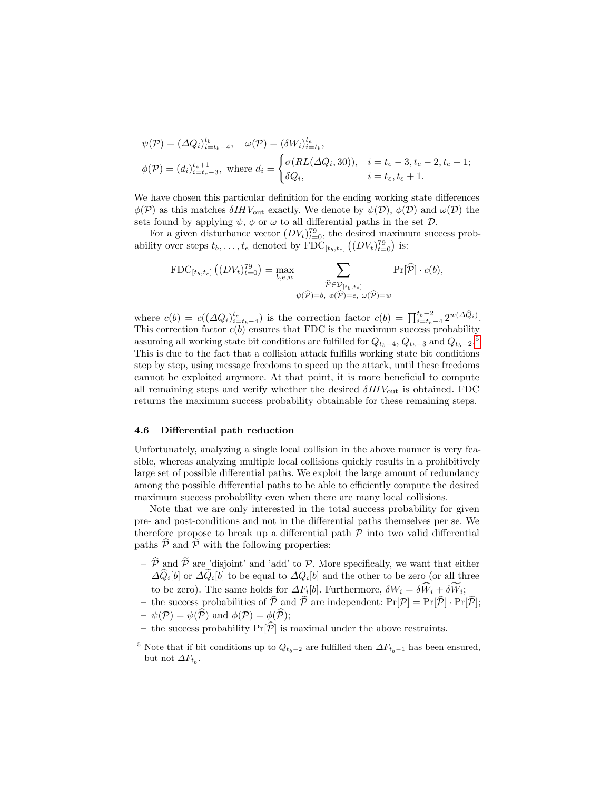$$
\psi(\mathcal{P}) = (\Delta Q_i)_{i=t_b-4}^{t_b}, \quad \omega(\mathcal{P}) = (\delta W_i)_{i=t_b}^{t_e},
$$
  

$$
\phi(\mathcal{P}) = (d_i)_{i=t_e-3}^{t_e+1}, \text{ where } d_i = \begin{cases} \sigma(RL(\Delta Q_i, 30)), & i = t_e - 3, t_e - 2, t_e - 1; \\ \delta Q_i, & i = t_e, t_e + 1. \end{cases}
$$

We have chosen this particular definition for the ending working state differences  $\phi(\mathcal{P})$  as this matches  $\delta IHV_{\text{out}}$  exactly. We denote by  $\psi(\mathcal{D}), \phi(\mathcal{D})$  and  $\omega(\mathcal{D})$  the sets found by applying  $\psi$ ,  $\phi$  or  $\omega$  to all differential paths in the set  $\mathcal{D}$ .

For a given disturbance vector  $(DV_t)_{t=0}^{79}$ , the desired maximum success probability over steps  $t_b, \ldots, t_e$  denoted by  $\text{FDC}_{[t_b, t_e]}((DV_t)_{t=0}^{79})$  is:

$$
\text{FDC}_{[t_b, t_e]} \left( \left( DV_t \right)_{t=0}^{79} \right) = \max_{b, e, w} \sum_{\substack{\widehat{\mathcal{P}} \in \mathcal{D}_{[t_b, t_e]}}{\widehat{\mathcal{P}} \in \mathcal{D}_{[t_b, t_e]}}} \Pr[\widehat{\mathcal{P}}] \cdot c(b),
$$
  

$$
\psi(\widehat{\mathcal{P}}) = b, \ \phi(\widehat{\mathcal{P}}) = e, \ \omega(\widehat{\mathcal{P}}) = w
$$

where  $c(b) = c((\Delta Q_i)_{i=t_b-4}^{t_e})$  is the correction factor  $c(b) = \prod_{i=t_b-4}^{t_b-2} 2^{w(\Delta \hat{Q}_i)}$ . This correction factor  $c(b)$  ensures that FDC is the maximum success probability assuming all working state bit conditions are fulfilled for  $Q_{t_b-4}$ ,  $Q_{t_b-3}$  and  $Q_{t_b-2}$ .<sup>[5](#page-6-0)</sup> This is due to the fact that a collision attack fulfills working state bit conditions step by step, using message freedoms to speed up the attack, until these freedoms cannot be exploited anymore. At that point, it is more beneficial to compute all remaining steps and verify whether the desired  $\delta H V_{\text{out}}$  is obtained. FDC returns the maximum success probability obtainable for these remaining steps.

#### 4.6 Differential path reduction

Unfortunately, analyzing a single local collision in the above manner is very feasible, whereas analyzing multiple local collisions quickly results in a prohibitively large set of possible differential paths. We exploit the large amount of redundancy among the possible differential paths to be able to efficiently compute the desired maximum success probability even when there are many local collisions.

Note that we are only interested in the total success probability for given pre- and post-conditions and not in the differential paths themselves per se. We therefore propose to break up a differential path  $P$  into two valid differential paths  $P$  and  $P$  with the following properties:

- $\hat{\mathcal{P}}$  and  $\tilde{\mathcal{P}}$  are 'disjoint' and 'add' to  $\mathcal{P}$ . More specifically, we want that either  $\Delta Q_i[b]$  or  $\Delta Q_i[b]$  to be equal to  $\Delta Q_i[b]$  and the other to be zero (or all three to be zero). The same holds for  $\Delta F_i[b]$ . Furthermore,  $\delta W_i = \delta W_i + \delta W_i$ ;
- the success probabilities of  $\hat{\mathcal{P}}$  and  $\tilde{\mathcal{P}}$  are independent:  $Pr[\mathcal{P}] = Pr[\hat{\mathcal{P}}] \cdot Pr[\hat{\mathcal{P}}]$ ;  $-\psi(\mathcal{P}) = \psi(\widehat{\mathcal{P}})$  and  $\phi(\mathcal{P}) = \phi(\widehat{\mathcal{P}});$
- the success probability  $Pr[\hat{\mathcal{P}}]$  is maximal under the above restraints.

<span id="page-6-0"></span><sup>&</sup>lt;sup>5</sup> Note that if bit conditions up to  $Q_{t_b-2}$  are fulfilled then  $\Delta F_{t_b-1}$  has been ensured, but not  $\Delta F_{t_b}$ .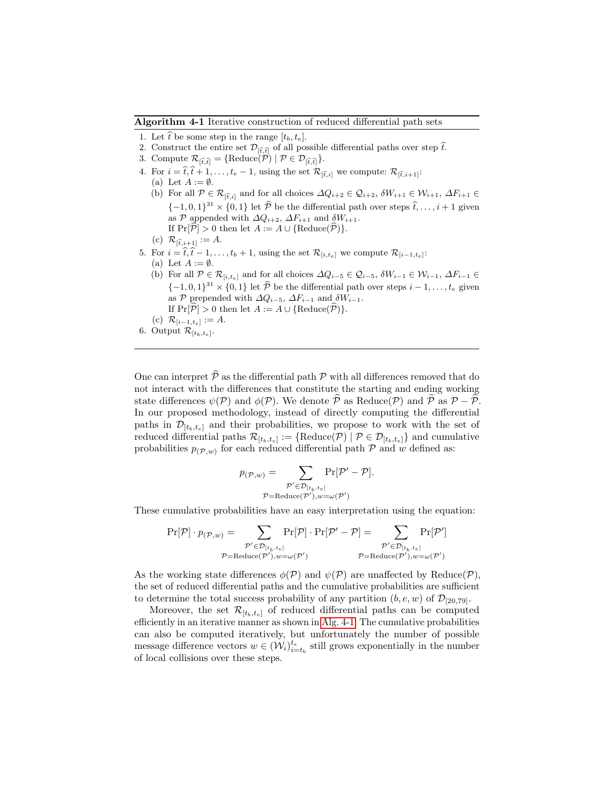<span id="page-7-0"></span>Algorithm 4-1 Iterative construction of reduced differential path sets

- 1. Let  $\hat{t}$  be some step in the range  $[t_b, t_e]$ .
- 2. Construct the entire set  $\mathcal{D}_{\widehat{t},\widehat{t}}$  of all possible differential paths over step  $\widehat{t}$ .
- 3. Compute  $\mathcal{R}_{[\hat{t},\hat{t}]} = {\text{Reduce}(\mathcal{P}) \mid \mathcal{P} \in \mathcal{D}_{[\hat{t},\hat{t}]}}.$
- 4. For  $i = \hat{t}, \hat{t} + 1, \ldots, t_e 1$ , using the set  $\mathcal{R}_{[\hat{t},i]}$  we compute:  $\mathcal{R}_{[\hat{t},i+1]}$ :
	- (a) Let  $A := \emptyset$ .
	- (b) For all  $\mathcal{P} \in \mathcal{R}_{[\hat{t},i]}$  and for all choices  $\Delta Q_{i+2} \in \mathcal{Q}_{i+2}, \delta W_{i+1} \in \mathcal{W}_{i+1}, \Delta F_{i+1} \in$  $\{-1, 0, 1\}^{31} \times \{0, 1\}$  let  $\widehat{\mathcal{P}}$  be the differential path over steps  $\widehat{t}, \ldots, i + 1$  given as P appended with  $\Delta Q_{i+2}$ ,  $\Delta F_{i+1}$  and  $\delta W_{i+1}$ . If  $Pr[\hat{\mathcal{P}}] > 0$  then let  $A := A \cup \{Reduce(\hat{\mathcal{P}})\}.$
	- (c)  $\mathcal{R}_{\widehat{t},i+1} := A$ .
- 5. For  $i = \hat{t}, \hat{t} 1, \ldots, t_b + 1$ , using the set  $\mathcal{R}_{[i,t_e]}$  we compute  $\mathcal{R}_{[i-1,t_e]}$ :
	- (a) Let  $A := \emptyset$ .
	- (b) For all  $\mathcal{P} \in \mathcal{R}_{[i,t_e]}$  and for all choices  $\Delta Q_{i-5} \in \mathcal{Q}_{i-5}$ ,  $\delta W_{i-1} \in \mathcal{W}_{i-1}$ ,  $\Delta F_{i-1} \in$  ${-1, 0, 1}^{31} \times {0, 1}$  let  $\widehat{\mathcal{P}}$  be the differential path over steps  $i - 1, \ldots, t_e$  given as P prepended with  $\Delta Q_{i-5}$ ,  $\Delta F_{i-1}$  and  $\delta W_{i-1}$ . If  $Pr[\hat{\mathcal{P}}] > 0$  then let  $A := A \cup \{Reduce(\hat{\mathcal{P}})\}.$
	- (c)  $\mathcal{R}_{[i-1,t_e]} := A.$
- 6. Output  $\mathcal{R}_{[t_b,t_e]}.$

One can interpret  $\hat{\mathcal{P}}$  as the differential path  $\mathcal P$  with all differences removed that do not interact with the differences that constitute the starting and ending working state differences  $\psi(\mathcal{P})$  and  $\phi(\mathcal{P})$ . We denote  $\hat{\mathcal{P}}$  as Reduce( $\mathcal{P}$ ) and  $\hat{\mathcal{P}}$  as  $\mathcal{P} - \hat{\mathcal{P}}$ . In our proposed methodology, instead of directly computing the differential paths in  $\mathcal{D}_{[t_b,t_e]}$  and their probabilities, we propose to work with the set of reduced differential paths  $\mathcal{R}_{[t_b,t_e]} := \{ \text{Reduce}(\mathcal{P}) \mid \mathcal{P} \in \mathcal{D}_{[t_b,t_e]} \}$  and cumulative probabilities  $p_{(\mathcal{P},w)}$  for each reduced differential path  $\mathcal P$  and w defined as:

$$
p(\mathcal{P}, w) = \sum_{\substack{\mathcal{P}' \in \mathcal{D}_{[t_b, t_e]}}} \Pr[\mathcal{P}' - \mathcal{P}].
$$

$$
P = \text{Reduce}(\mathcal{P}'), w = \omega(\mathcal{P}')
$$

These cumulative probabilities have an easy interpretation using the equation:

$$
\Pr[\mathcal{P}] \cdot p_{(\mathcal{P},w)} = \sum_{\substack{\mathcal{P}' \in \mathcal{D}_{[t_b,t_e]}}} \Pr[\mathcal{P}] \cdot \Pr[\mathcal{P}' - \mathcal{P}] = \sum_{\substack{\mathcal{P}' \in \mathcal{D}_{[t_b,t_e]}}} \Pr[\mathcal{P}']}{\sum_{\substack{\mathcal{P}' \in \mathcal{D}_{[t_b,t_e]}}} \Pr[\mathcal{P}']}
$$
\n
$$
P = \text{Reduce}(\mathcal{P}'), w = \omega(\mathcal{P}')
$$

As the working state differences  $\phi(\mathcal{P})$  and  $\psi(\mathcal{P})$  are unaffected by Reduce( $\mathcal{P}$ ), the set of reduced differential paths and the cumulative probabilities are sufficient to determine the total success probability of any partition  $(b, e, w)$  of  $\mathcal{D}_{[20,79]}$ .

Moreover, the set  $\mathcal{R}_{[t_b,t_e]}$  of reduced differential paths can be computed efficiently in an iterative manner as shown in [Alg. 4-1.](#page-7-0) The cumulative probabilities can also be computed iteratively, but unfortunately the number of possible message difference vectors  $w \in (\mathcal{W}_i)_{i=t_b}^{t_e}$  still grows exponentially in the number of local collisions over these steps.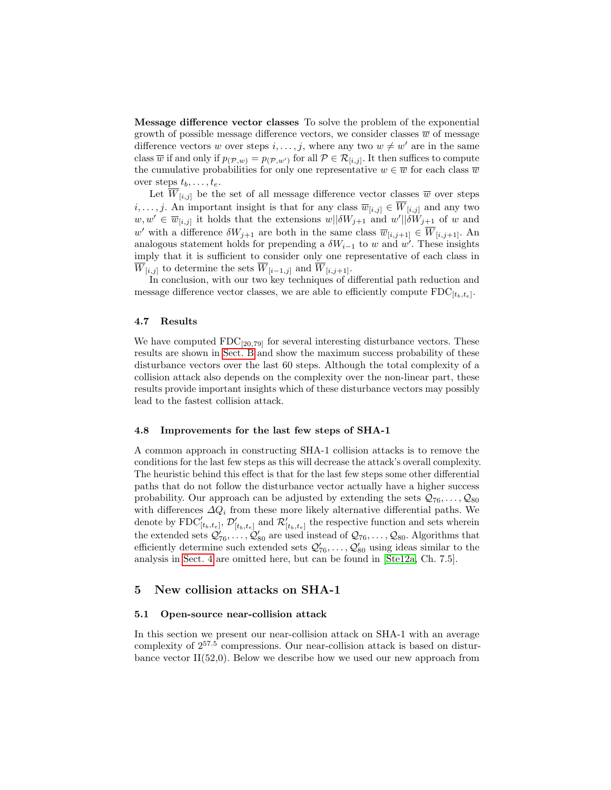Message difference vector classes To solve the problem of the exponential growth of possible message difference vectors, we consider classes  $\overline{w}$  of message difference vectors w over steps  $i, \ldots, j$ , where any two  $w \neq w'$  are in the same class  $\overline{w}$  if and only if  $p_{(\mathcal{P},w)} = p_{(\mathcal{P},w')}$  for all  $\mathcal{P} \in \mathcal{R}_{[i,j]}$ . It then suffices to compute the cumulative probabilities for only one representative  $w \in \overline{w}$  for each class  $\overline{w}$ over steps  $t_b, \ldots, t_e$ .

Let  $\overline{W}_{[i,j]}$  be the set of all message difference vector classes  $\overline{w}$  over steps  $i, \ldots, j$ . An important insight is that for any class  $\overline{w}_{[i,j]} \in \overline{W}_{[i,j]}$  and any two  $w, w' \in \overline{w}_{[i,j]}$  it holds that the extensions  $w||\delta W_{j+1}$  and  $w'||\delta W_{j+1}$  of w and w' with a difference  $\delta W_{j+1}$  are both in the same class  $\overline{w}_{[i,j+1]} \in \overline{W}_{[i,j+1]}$ . An analogous statement holds for prepending a  $\delta W_{i-1}$  to w and w'. These insights imply that it is sufficient to consider only one representative of each class in  $\overline{W}_{[i,j]}$  to determine the sets  $\overline{W}_{[i-1,j]}$  and  $\overline{W}_{[i,j+1]}$ .

In conclusion, with our two key techniques of differential path reduction and message difference vector classes, we are able to efficiently compute  $\text{FDC}_{[t_b, t_e]}$ .

#### 4.7 Results

We have computed  $FDC_{[20,79]}$  for several interesting disturbance vectors. These results are shown in [Sect. B](#page-15-0) and show the maximum success probability of these disturbance vectors over the last 60 steps. Although the total complexity of a collision attack also depends on the complexity over the non-linear part, these results provide important insights which of these disturbance vectors may possibly lead to the fastest collision attack.

#### <span id="page-8-1"></span>4.8 Improvements for the last few steps of SHA-1

A common approach in constructing SHA-1 collision attacks is to remove the conditions for the last few steps as this will decrease the attack's overall complexity. The heuristic behind this effect is that for the last few steps some other differential paths that do not follow the disturbance vector actually have a higher success probability. Our approach can be adjusted by extending the sets  $Q_{76}, \ldots, Q_{80}$ with differences  $\Delta Q_i$  from these more likely alternative differential paths. We denote by  $\text{FDC}'_{[t_b,t_e]}$ ,  $\mathcal{D}'_{[t_b,t_e]}$  and  $\mathcal{R}'_{[t_b,t_e]}$  the respective function and sets wherein the extended sets  $\mathcal{Q}'_{76}, \ldots, \mathcal{Q}'_{80}$  are used instead of  $\mathcal{Q}_{76}, \ldots, \mathcal{Q}_{80}$ . Algorithms that efficiently determine such extended sets  $\mathcal{Q}'_{76}, \ldots, \mathcal{Q}'_{80}$  using ideas similar to the analysis in [Sect. 4](#page-3-0) are omitted here, but can be found in [\[Ste12a,](#page-14-11) Ch. 7.5].

### 5 New collision attacks on SHA-1

#### <span id="page-8-0"></span>5.1 Open-source near-collision attack

In this section we present our near-collision attack on SHA-1 with an average complexity of 2<sup>57</sup>.<sup>5</sup> compressions. Our near-collision attack is based on disturbance vector  $II(52,0)$ . Below we describe how we used our new approach from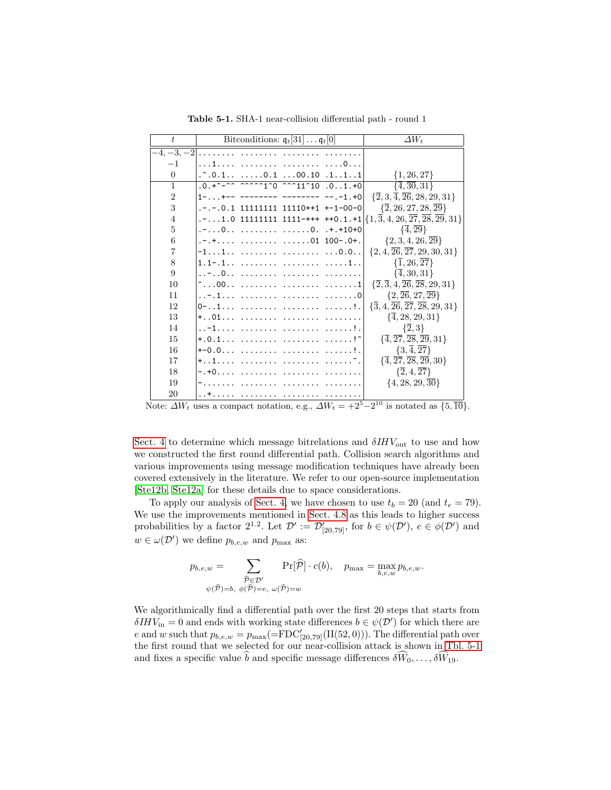| t              | Bitconditions: $\mathfrak{q}_t[31] \ldots \mathfrak{q}_t[0]$                                                                                                                                                                                                                                                                                                                            | $\Delta W_t$                                                               |
|----------------|-----------------------------------------------------------------------------------------------------------------------------------------------------------------------------------------------------------------------------------------------------------------------------------------------------------------------------------------------------------------------------------------|----------------------------------------------------------------------------|
| $-4, -3, -2$   | .                                                                                                                                                                                                                                                                                                                                                                                       |                                                                            |
| $-1$           | 1   0                                                                                                                                                                                                                                                                                                                                                                                   |                                                                            |
| $\theta$       | $\therefore$ 0.1 0.1 00.10 .111                                                                                                                                                                                                                                                                                                                                                         | $\{1, 26, 27\}$                                                            |
| $\mathbf{1}$   | $\overline{.0. +}$ $\overline{. +}$ $\overline{. +}$ $\overline{. +}$ $\overline{. +}$ $\overline{. +}$ $\overline{. +}$ $\overline{. +}$ $\overline{. +}$ $\overline{. +}$ $\overline{. +}$ $\overline{. +}$ $\overline{. +}$ $\overline{. +}$ $\overline{. +}$ $\overline{. +}$ $\overline{. +}$ $\overline{. +}$ $\overline{. +}$ $\overline{. +}$ $\overline{. +}$ $\overline{. +}$ |                                                                            |
| $\overline{2}$ | $1-$ +-- -------- -------- --.-1.+0                                                                                                                                                                                                                                                                                                                                                     | $\{\overline{2},3,\overline{4},\overline{26},28,29,31\}$                   |
| 3              | $- - - 0.1$ 11111111 11110++1 +-1-00-0                                                                                                                                                                                                                                                                                                                                                  | $\{2, 26, 27, 28, \overline{29}\}$                                         |
| $\overline{4}$ | $\ldots$ 1.0 11111111 1111-+++ ++0.1.+1 $\{1, \overline{3}, 4, 26, \overline{27}, \overline{28}, \overline{29}, 31\}$                                                                                                                                                                                                                                                                   |                                                                            |
| 5              | $. - 0. 0. + . + 10 + 0$                                                                                                                                                                                                                                                                                                                                                                | $\{\overline{4},\overline{29}\}$                                           |
| 6              | $-+$ 01 100-.0+.                                                                                                                                                                                                                                                                                                                                                                        | $\{2,3,4,26,\overline{29}\}$                                               |
| $\overline{7}$ | $-11$ 0.0                                                                                                                                                                                                                                                                                                                                                                               | $\{2, 4, \overline{26}, \overline{27}, 29, 30, 31\}$                       |
| 8              |                                                                                                                                                                                                                                                                                                                                                                                         | $\{\overline{1}, 26, \overline{27}\}\$                                     |
| 9              | -0                                                                                                                                                                                                                                                                                                                                                                                      | $\{\overline{4}, 30, 31\}$                                                 |
| 10             |                                                                                                                                                                                                                                                                                                                                                                                         | $\{\overline{2}, \overline{3}, 4, \overline{26}, \overline{28}, 29, 31\}$  |
| 11             |                                                                                                                                                                                                                                                                                                                                                                                         | $\{2,\overline{26},27,\overline{29}\}$                                     |
| 12             | 0-1   !.                                                                                                                                                                                                                                                                                                                                                                                | $\{\overline{3}, 4, \overline{26}, \overline{27}, \overline{28}, 29, 31\}$ |
| 13             | +01                                                                                                                                                                                                                                                                                                                                                                                     | $\{\overline{4}, 28, 29, 31\}$                                             |
| 14             | -1   !.                                                                                                                                                                                                                                                                                                                                                                                 | $\{\overline{2},3\}$                                                       |
| 15             | $+.0.1$ !^                                                                                                                                                                                                                                                                                                                                                                              | $\{\overline{4},\overline{27},\overline{28},\overline{29},31\}$            |
| 16             | $+-0.0$ !.                                                                                                                                                                                                                                                                                                                                                                              | $\{3,\overline{4},\overline{27}\}$                                         |
| 17             | $+ \ldots 1 \ldots \ldots \ldots \ldots \ldots \ldots \ldots \ldots$                                                                                                                                                                                                                                                                                                                    | $\{\overline{4},\overline{27},\overline{28},\overline{29},30\}$            |
| 18             |                                                                                                                                                                                                                                                                                                                                                                                         | $\{\overline{2},4,\overline{27}\}$                                         |
| 19             |                                                                                                                                                                                                                                                                                                                                                                                         | $\{4, 28, 29, 30\}$                                                        |
| 20             |                                                                                                                                                                                                                                                                                                                                                                                         |                                                                            |

<span id="page-9-0"></span>Table 5-1. SHA-1 near-collision differential path - round 1

Note:  $\Delta W_t$  uses a compact notation, e.g.,  $\Delta W_t = +2^5 - 2^{10}$  is notated as  $\{5,\overline{10}\}.$ 

[Sect. 4](#page-3-0) to determine which message bitrelations and  $\delta H W_{\text{out}}$  to use and how we constructed the first round differential path. Collision search algorithms and various improvements using message modification techniques have already been covered extensively in the literature. We refer to our open-source implementation [\[Ste12b,](#page-14-10) [Ste12a\]](#page-14-11) for these details due to space considerations.

To apply our analysis of [Sect. 4,](#page-3-0) we have chosen to use  $t_b = 20$  (and  $t_e = 79$ ). We use the improvements mentioned in [Sect. 4.8](#page-8-1) as this leads to higher success probabilities by a factor 2<sup>1.2</sup>. Let  $\mathcal{D}' := \mathcal{D}'_{[20,79]}$ , for  $b \in \psi(\mathcal{D}')$ ,  $e \in \phi(\mathcal{D}')$  and  $w \in \omega(\mathcal{D}')$  we define  $p_{b,e,w}$  and  $p_{\max}$  as:

$$
p_{b,e,w} = \sum_{\substack{\widehat{\mathcal{P}} \in \mathcal{D}' \\ \psi(\widehat{\mathcal{P}})=b, \ \phi(\widehat{\mathcal{P}})=e, \ \omega(\widehat{\mathcal{P}})=w}} \Pr[\widehat{\mathcal{P}}] \cdot c(b), \quad p_{\max} = \max_{b,e,w} p_{b,e,w}.
$$

We algorithmically find a differential path over the first 20 steps that starts from  $\delta IHV_{\text{in}} = 0$  and ends with working state differences  $b \in \psi(\mathcal{D}')$  for which there are e and w such that  $p_{b,e,w} = p_{\text{max}} (= FDC'_{[20,79]}(II(52,0)))$ . The differential path over the first round that we selected for our near-collision attack is shown in [Tbl. 5-1](#page-9-0) and fixes a specific value  $\hat{b}$  and specific message differences  $\delta W_0, \ldots, \delta W_{19}$ .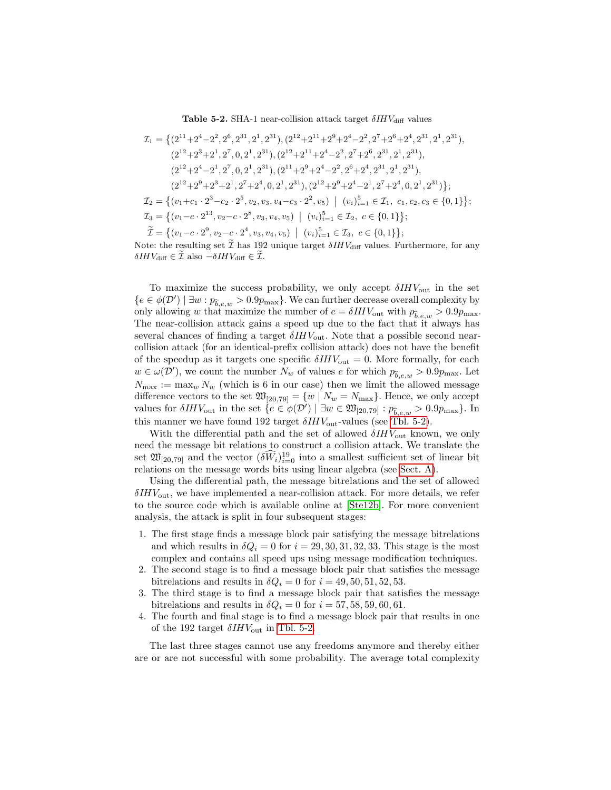<span id="page-10-0"></span>Table 5-2. SHA-1 near-collision attack target  $\delta IHV_{\rm diff}$  values

$$
\mathcal{I}_1 = \left\{ (2^{11} + 2^4 - 2^2, 2^6, 2^{31}, 2^1, 2^{31}), (2^{12} + 2^{11} + 2^9 + 2^4 - 2^2, 2^7 + 2^6 + 2^4, 2^{31}, 2^1, 2^{31}), (2^{12} + 2^{31} + 2^4 - 2^2, 2^7 + 2^6, 2^{31}, 2^1, 2^{31}), (2^{12} + 2^4 - 2^1, 2^7, 0, 2^1, 2^{31}), (2^{11} + 2^9 + 2^4 - 2^2, 2^6 + 2^4, 2^{31}, 2^1, 2^{31}), (2^{12} + 2^9 + 2^4 - 2^2, 2^6 + 2^4, 2^{31}, 2^1, 2^{31}), (2^{12} + 2^9 + 2^4 - 2^1, 2^7 + 2^4, 0, 2^1, 2^{31}) ;
$$
  
\n
$$
\mathcal{I}_2 = \left\{ (v_1 + c_1 \cdot 2^3 - c_2 \cdot 2^5, v_2, v_3, v_4 - c_3 \cdot 2^2, v_5) \middle| (v_i)_{i=1}^5 \in \mathcal{I}_1, c_1, c_2, c_3 \in \{0, 1\} \right\};
$$
  
\n
$$
\mathcal{I}_3 = \left\{ (v_1 - c \cdot 2^{13}, v_2 - c \cdot 2^8, v_3, v_4, v_5) \middle| (v_i)_{i=1}^5 \in \mathcal{I}_2, c \in \{0, 1\} \right\};
$$
  
\n
$$
\widetilde{\mathcal{I}} = \left\{ (v_1 - c \cdot 2^9, v_2 - c \cdot 2^4, v_3, v_4, v_5) \middle| (v_i)_{i=1}^5 \in \mathcal{I}_3, c \in \{0, 1\} \right\};
$$

Note: the resulting set  $\tilde{\mathcal{I}}$  has 192 unique target  $\delta IHV_{\text{diff}}$  values. Furthermore, for any  $\delta IHV_{\text{diff}} \in \tilde{\mathcal{I}}$  also  $-\delta IHV_{\text{diff}} \in \tilde{\mathcal{I}}$ .

To maximize the success probability, we only accept  $\delta H V_{\text{out}}$  in the set  ${e \in \phi(\mathcal{D}') \mid \exists w : p_{\hat{b},e,w} > 0.9p_{\max}}.$  We can further decrease overall complexity by only allowing w that maximize the number of  $e = \delta H V_{\text{out}}$  with  $p_{\hat{b},e,w} > 0.9p_{\text{max}}$ . The near-collision attack gains a speed up due to the fact that it always has several chances of finding a target  $\delta I H V_{\text{out}}$ . Note that a possible second nearcollision attack (for an identical-prefix collision attack) does not have the benefit of the speedup as it targets one specific  $\delta H V_{\text{out}} = 0$ . More formally, for each  $w \in \omega(\mathcal{D}')$ , we count the number  $N_w$  of values e for which  $p_{\widehat{b},e,w} > 0.9p_{\max}$ . Let  $N_{\text{max}} := \max_{w} N_w$  (which is 6 in our case) then we limit the allowed message difference vectors to the set  $\mathfrak{W}_{[20,79]} = \{w \mid N_w = N_{\text{max}}\}.$  Hence, we only accept values for  $\delta IHV_{\text{out}}$  in the set  $\{e \in \phi(\mathcal{D}') \mid \exists w \in \mathfrak{W}_{[20,79]} : p_{\widehat{b},e,w} > 0.9p_{\text{max}}\}$ . In this manner we have found 192 target  $\delta I H V_{\text{out}}$ -values (see [Tbl. 5-2\)](#page-10-0).

With the differential path and the set of allowed  $\delta H V_{\text{out}}$  known, we only need the message bit relations to construct a collision attack. We translate the set  $\mathfrak{W}_{[20,79]}$  and the vector  $(\delta \widetilde{W}_i)_{i=0}^{19}$  into a smallest sufficient set of linear bit relations on the message words bits using linear algebra (see [Sect. A\)](#page-14-12).

Using the differential path, the message bitrelations and the set of allowed  $\delta H V_{\text{out}}$ , we have implemented a near-collision attack. For more details, we refer to the source code which is available online at [\[Ste12b\]](#page-14-10). For more convenient analysis, the attack is split in four subsequent stages:

- 1. The first stage finds a message block pair satisfying the message bitrelations and which results in  $\delta Q_i = 0$  for  $i = 29, 30, 31, 32, 33$ . This stage is the most complex and contains all speed ups using message modification techniques.
- 2. The second stage is to find a message block pair that satisfies the message bitrelations and results in  $\delta Q_i = 0$  for  $i = 49, 50, 51, 52, 53$ .
- 3. The third stage is to find a message block pair that satisfies the message bitrelations and results in  $\delta Q_i = 0$  for  $i = 57, 58, 59, 60, 61$ .
- 4. The fourth and final stage is to find a message block pair that results in one of the 192 target  $\delta IHV_{\text{out}}$  in [Tbl. 5-2.](#page-10-0)

The last three stages cannot use any freedoms anymore and thereby either are or are not successful with some probability. The average total complexity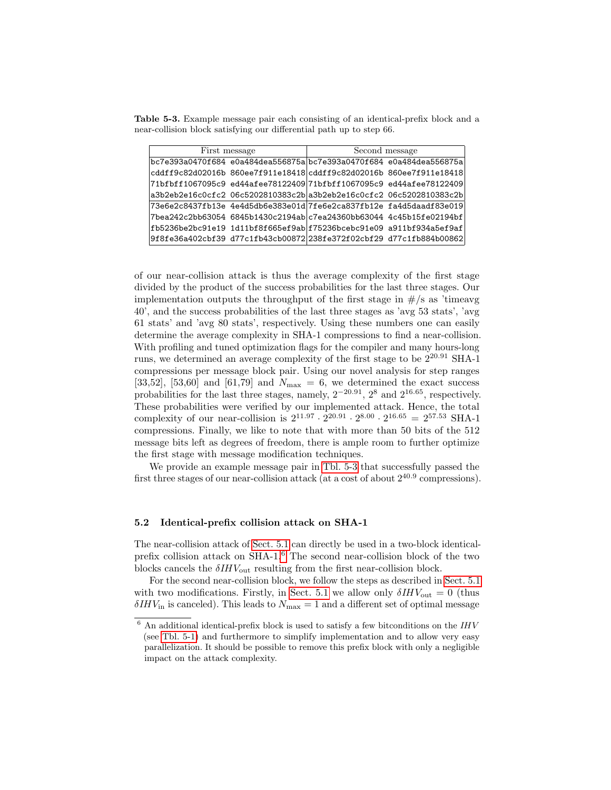Table 5-3. Example message pair each consisting of an identical-prefix block and a near-collision block satisfying our differential path up to step 66.

<span id="page-11-0"></span>

|                                                                     | First message | Second message |                                                                                               |  |  |
|---------------------------------------------------------------------|---------------|----------------|-----------------------------------------------------------------------------------------------|--|--|
|                                                                     |               |                | bc7e393a0470f684 e0a484dea556875abc7e393a0470f684 e0a484dea556875a                            |  |  |
|                                                                     |               |                | cddff9c82d02016b 860ee7f911e18418 cddff9c82d02016b 860ee7f911e18418                           |  |  |
|                                                                     |               |                | 71bfbff1067095c9_ed44afee78122409 71bfbff1067095c9_ed44afee78122409                           |  |  |
|                                                                     |               |                | a3b2eb2e16c0cfc2_06c5202810383c2b a3b2eb2e16c0cfc2_06c5202810383c2b                           |  |  |
|                                                                     |               |                | 73e6e2c8437fb13e                4e4d5db6e383e01d 7fe6e2ca837fb12e            fa4d5daadf83e019 |  |  |
|                                                                     |               |                | 7bea242c2bb63054    6845b1430c2194ab c7ea24360bb63044    4c45b15fe02194bf                     |  |  |
|                                                                     |               |                |                                                                                               |  |  |
| 9f8fe36a402cbf39 d77c1fb43cb00872 238fe372f02cbf29 d77c1fb884b00862 |               |                |                                                                                               |  |  |

of our near-collision attack is thus the average complexity of the first stage divided by the product of the success probabilities for the last three stages. Our implementation outputs the throughput of the first stage in  $\#/s$  as 'timeavg 40', and the success probabilities of the last three stages as 'avg 53 stats', 'avg 61 stats' and 'avg 80 stats', respectively. Using these numbers one can easily determine the average complexity in SHA-1 compressions to find a near-collision. With profiling and tuned optimization flags for the compiler and many hours-long runs, we determined an average complexity of the first stage to be  $2^{20.91}$  SHA-1 compressions per message block pair. Using our novel analysis for step ranges [33,52], [53,60] and [61,79] and  $N_{\text{max}} = 6$ , we determined the exact success probabilities for the last three stages, namely,  $2^{-20.91}$ ,  $2^8$  and  $2^{16.65}$ , respectively. These probabilities were verified by our implemented attack. Hence, the total complexity of our near-collision is  $2^{11.97} \cdot 2^{20.91} \cdot 2^{8.00} \cdot 2^{16.65} = 2^{57.53}$  SHA-1 compressions. Finally, we like to note that with more than 50 bits of the 512 message bits left as degrees of freedom, there is ample room to further optimize the first stage with message modification techniques.

We provide an example message pair in [Tbl. 5-3](#page-11-0) that successfully passed the first three stages of our near-collision attack (at a cost of about  $2^{40.9}$  compressions).

#### <span id="page-11-2"></span>5.2 Identical-prefix collision attack on SHA-1

The near-collision attack of [Sect. 5.1](#page-8-0) can directly be used in a two-block identicalprefix collision attack on SHA-1.[6](#page-11-1) The second near-collision block of the two blocks cancels the  $\delta IHV_{\rm out}$  resulting from the first near-collision block.

For the second near-collision block, we follow the steps as described in [Sect. 5.1](#page-8-0) with two modifications. Firstly, in [Sect. 5.1](#page-8-0) we allow only  $\delta H V_{\text{out}} = 0$  (thus  $\delta H V_{\text{in}}$  is canceled). This leads to  $N_{\text{max}} = 1$  and a different set of optimal message

<span id="page-11-1"></span> $6$  An additional identical-prefix block is used to satisfy a few bitconditions on the  $IHV$ (see [Tbl. 5-1\)](#page-9-0) and furthermore to simplify implementation and to allow very easy parallelization. It should be possible to remove this prefix block with only a negligible impact on the attack complexity.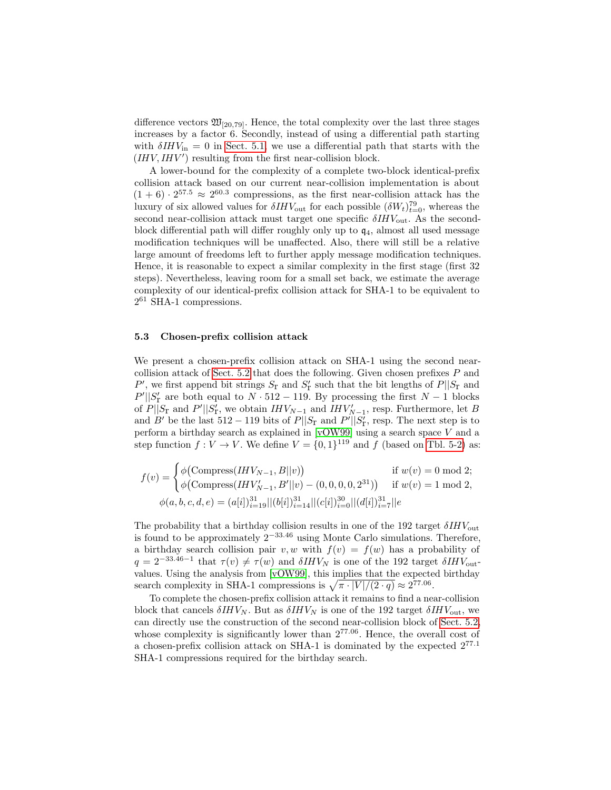difference vectors  $\mathfrak{W}_{[20,79]}$ . Hence, the total complexity over the last three stages increases by a factor 6. Secondly, instead of using a differential path starting with  $\delta H V_{\text{in}} = 0$  in [Sect. 5.1,](#page-8-0) we use a differential path that starts with the  $(HIV, IHV')$  resulting from the first near-collision block.

A lower-bound for the complexity of a complete two-block identical-prefix collision attack based on our current near-collision implementation is about  $(1+6) \cdot 2^{57.5} \approx 2^{60.3}$  compressions, as the first near-collision attack has the luxury of six allowed values for  $\delta IHV_{\text{out}}$  for each possible  $(\delta W_t)_{t=0}^{79}$ , whereas the second near-collision attack must target one specific  $\delta IHV_{\text{out}}$ . As the secondblock differential path will differ roughly only up to  $q_4$ , almost all used message modification techniques will be unaffected. Also, there will still be a relative large amount of freedoms left to further apply message modification techniques. Hence, it is reasonable to expect a similar complexity in the first stage (first 32 steps). Nevertheless, leaving room for a small set back, we estimate the average complexity of our identical-prefix collision attack for SHA-1 to be equivalent to 2 <sup>61</sup> SHA-1 compressions.

#### 5.3 Chosen-prefix collision attack

We present a chosen-prefix collision attack on SHA-1 using the second nearcollision attack of [Sect. 5.2](#page-11-2) that does the following. Given chosen prefixes P and  $P'$ , we first append bit strings  $S_{\rm r}$  and  $S'_{\rm r}$  such that the bit lengths of  $P||S_{\rm r}$  and  $P' || S'_{r}$  are both equal to  $N \cdot 512 - 119$ . By processing the first  $N - 1$  blocks of  $P||S_{\Gamma}$  and  $P'||S'_{\Gamma}$ , we obtain  $IHV_{N-1}$  and  $IHV'_{N-1}$ , resp. Furthermore, let B and B' be the last  $512 - 119$  bits of  $P||S_{\Gamma}$  and  $P'||S_{\Gamma}$ , resp. The next step is to perform a birthday search as explained in [\[vOW99\]](#page-14-13) using a search space V and a step function  $f: V \to V$ . We define  $V = \{0, 1\}^{119}$  and f (based on [Tbl. 5-2\)](#page-10-0) as:

$$
f(v) = \begin{cases} \phi(\text{Compress}(IHV_{N-1}, B||v)) & \text{if } w(v) = 0 \text{ mod } 2; \\ \phi(\text{Compress}(IHV'_{N-1}, B'||v) - (0, 0, 0, 0, 2^{31})) & \text{if } w(v) = 1 \text{ mod } 2, \\ \phi(a, b, c, d, e) = (a[i])_{i=19}^{31} ||(b[i])_{i=14}^{31} ||(c[i])_{i=0}^{30} ||(d[i])_{i=7}^{31} ||e \end{cases}
$$

The probability that a birthday collision results in one of the 192 target  $\delta I H V_{\text{out}}$ is found to be approximately 2<sup>−</sup>33.<sup>46</sup> using Monte Carlo simulations. Therefore, a birthday search collision pair v, w with  $f(v) = f(w)$  has a probability of  $q = 2^{-33.46-1}$  that  $\tau(v) \neq \tau(w)$  and  $\delta IHV_N$  is one of the 192 target  $\delta IHV_{\text{out}}$ values. Using the analysis from [\[vOW99\]](#page-14-13), this implies that the expected birthday search complexity in SHA-1 compressions is  $\sqrt{\pi \cdot |V|/(2 \cdot q)} \approx 2^{77.06}$ .

To complete the chosen-prefix collision attack it remains to find a near-collision block that cancels  $\delta I H V_N$ . But as  $\delta I H V_N$  is one of the 192 target  $\delta I H V_{\text{out}}$ , we can directly use the construction of the second near-collision block of [Sect. 5.2,](#page-11-2) whose complexity is significantly lower than  $2^{77.06}$ . Hence, the overall cost of a chosen-prefix collision attack on SHA-1 is dominated by the expected 2<sup>77</sup>.<sup>1</sup> SHA-1 compressions required for the birthday search.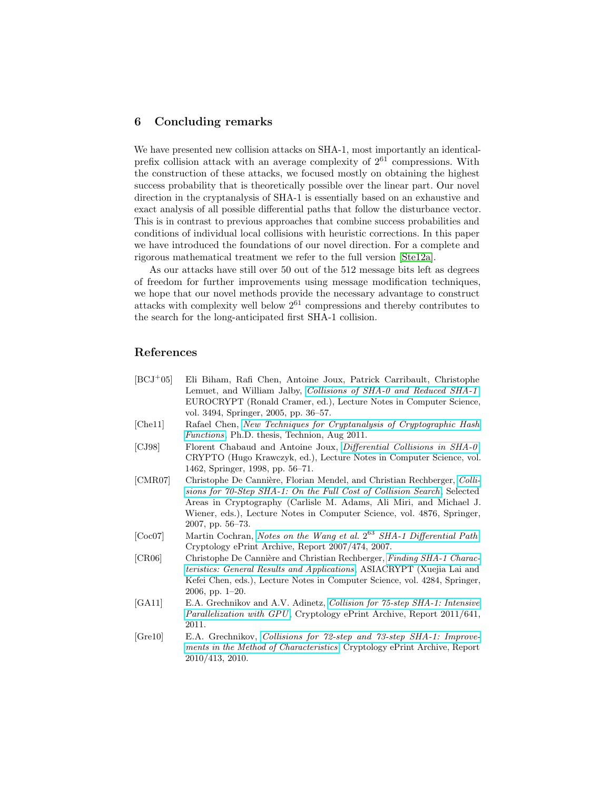# 6 Concluding remarks

We have presented new collision attacks on SHA-1, most importantly an identicalprefix collision attack with an average complexity of  $2^{61}$  compressions. With the construction of these attacks, we focused mostly on obtaining the highest success probability that is theoretically possible over the linear part. Our novel direction in the cryptanalysis of SHA-1 is essentially based on an exhaustive and exact analysis of all possible differential paths that follow the disturbance vector. This is in contrast to previous approaches that combine success probabilities and conditions of individual local collisions with heuristic corrections. In this paper we have introduced the foundations of our novel direction. For a complete and rigorous mathematical treatment we refer to the full version [\[Ste12a\]](#page-14-11).

As our attacks have still over 50 out of the 512 message bits left as degrees of freedom for further improvements using message modification techniques, we hope that our novel methods provide the necessary advantage to construct attacks with complexity well below  $2^{61}$  compressions and thereby contributes to the search for the long-anticipated first SHA-1 collision.

# References

<span id="page-13-7"></span><span id="page-13-6"></span><span id="page-13-5"></span><span id="page-13-4"></span><span id="page-13-3"></span><span id="page-13-2"></span><span id="page-13-1"></span><span id="page-13-0"></span>

| $[BCJ+05]$ | Eli Biham, Rafi Chen, Antoine Joux, Patrick Carribault, Christophe                                                                               |  |  |  |  |  |
|------------|--------------------------------------------------------------------------------------------------------------------------------------------------|--|--|--|--|--|
|            | Lemuet, and William Jalby, Collisions of SHA-0 and Reduced SHA-1,                                                                                |  |  |  |  |  |
|            | EUROCRYPT (Ronald Cramer, ed.), Lecture Notes in Computer Science,                                                                               |  |  |  |  |  |
|            | vol. 3494, Springer, 2005, pp. 36-57.                                                                                                            |  |  |  |  |  |
| [Chel1]    | Rafael Chen, New Techniques for Cryptanalysis of Cryptographic Hash<br>Functions, Ph.D. thesis, Technion, Aug 2011.                              |  |  |  |  |  |
| [CJ98]     | Florent Chabaud and Antoine Joux, Differential Collisions in SHA-0,                                                                              |  |  |  |  |  |
|            | CRYPTO (Hugo Krawczyk, ed.), Lecture Notes in Computer Science, vol.                                                                             |  |  |  |  |  |
|            | 1462, Springer, 1998, pp. 56-71.                                                                                                                 |  |  |  |  |  |
| [CMR07]    | Christophe De Cannière, Florian Mendel, and Christian Rechberger, Colli-                                                                         |  |  |  |  |  |
|            | sions for 70-Step SHA-1: On the Full Cost of Collision Search, Selected                                                                          |  |  |  |  |  |
|            | Areas in Cryptography (Carlisle M. Adams, Ali Miri, and Michael J.                                                                               |  |  |  |  |  |
|            | Wiener, eds.), Lecture Notes in Computer Science, vol. 4876, Springer,                                                                           |  |  |  |  |  |
|            | $2007$ , pp. $56-73$ .                                                                                                                           |  |  |  |  |  |
| [Coc07]    | Martin Cochran, Notes on the Wang et al. 2 <sup>63</sup> SHA-1 Differential Path,<br>Cryptology ePrint Archive, Report 2007/474, 2007.           |  |  |  |  |  |
| [CR06]     | Christophe De Cannière and Christian Rechberger, Finding SHA-1 Charac-                                                                           |  |  |  |  |  |
|            | <i>teristics: General Results and Applications, ASIACRYPT (Xuejia Lai and Leningsia)</i>                                                         |  |  |  |  |  |
|            | Kefei Chen, eds.), Lecture Notes in Computer Science, vol. 4284, Springer,                                                                       |  |  |  |  |  |
|            | 2006, pp. 1-20.                                                                                                                                  |  |  |  |  |  |
| [GA11]     | E.A. Grechnikov and A.V. Adinetz, Collision for 75-step SHA-1: Intensive                                                                         |  |  |  |  |  |
|            | Parallelization with GPU, Cryptology ePrint Archive, Report 2011/641,                                                                            |  |  |  |  |  |
|            | 2011.                                                                                                                                            |  |  |  |  |  |
| [Gre10]    | E.A. Grechnikov, Collisions for 72-step and 73-step SHA-1: Improve-<br>ments in the Method of Characteristics, Cryptology ePrint Archive, Report |  |  |  |  |  |
|            | 2010/413, 2010.                                                                                                                                  |  |  |  |  |  |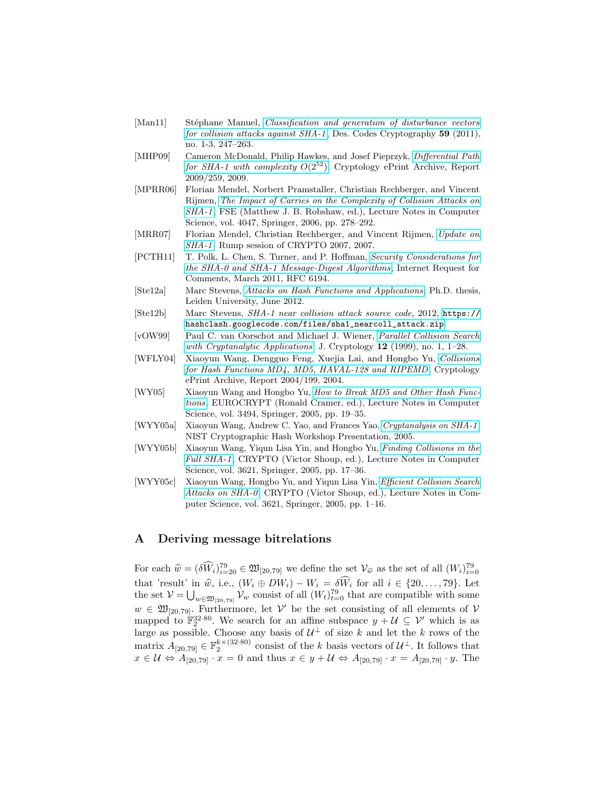- <span id="page-14-9"></span>[Man11] Stéphane Manuel, *[Classification and generation of disturbance vectors](http://dx.doi.org/10.1007/s10623-010-9458-9)* [for collision attacks against SHA-1](http://dx.doi.org/10.1007/s10623-010-9458-9) , Des. Codes Cryptography 59 (2011), no. 1-3, 247–263.
- <span id="page-14-6"></span>[MHP09] Cameron McDonald, Philip Hawkes, and Josef Pieprzyk, [Differential Path](http://eprint.iacr.org/2009/259) [for SHA-1 with complexity](http://eprint.iacr.org/2009/259)  $O(2^{52})$ , Cryptology ePrint Archive, Report 2009/259, 2009.
- <span id="page-14-8"></span>[MPRR06] Florian Mendel, Norbert Pramstaller, Christian Rechberger, and Vincent Rijmen, [The Impact of Carries on the Complexity of Collision Attacks on](http://dx.doi.org/10.1007/11799313_18) [SHA-1](http://dx.doi.org/10.1007/11799313_18) , FSE (Matthew J. B. Robshaw, ed.), Lecture Notes in Computer Science, vol. 4047, Springer, 2006, pp. 278–292.
- <span id="page-14-5"></span>[MRR07] Florian Mendel, Christian Rechberger, and Vincent Rijmen, [Update on](http://rump2007.cr.yp.to/09-rechberger.pdf) [SHA-1](http://rump2007.cr.yp.to/09-rechberger.pdf), Rump session of CRYPTO 2007, 2007.
- <span id="page-14-7"></span>[PCTH11] T. Polk, L. Chen, S. Turner, and P. Hoffman, [Security Considerations for](http://www.ietf.org/rfc/rfc6194.txt) [the SHA-0 and SHA-1 Message-Digest Algorithms](http://www.ietf.org/rfc/rfc6194.txt), Internet Request for Comments, March 2011, RFC 6194.
- <span id="page-14-11"></span>[Ste12a] Marc Stevens, [Attacks on Hash Functions and Applications](http://marc-stevens.nl/research/papers/PhD%20Thesis%20Marc%20Stevens%20-%20Attacks%20on%20Hash%20Functions%20and%20Applications.pdf), Ph.D. thesis, Leiden University, June 2012.
- <span id="page-14-10"></span>[Ste12b] Marc Stevens, SHA-1 near collision attack source code, 2012, [https://](https://hashclash.googlecode.com/files/sha1_nearcoll_attack.zip) [hashclash.googlecode.com/files/sha1\\_nearcoll\\_attack.zip](https://hashclash.googlecode.com/files/sha1_nearcoll_attack.zip).
- <span id="page-14-13"></span>[vOW99] Paul C. van Oorschot and Michael J. Wiener, [Parallel Collision Search](http://dx.doi.org/10.1007/PL00003816) [with Cryptanalytic Applications](http://dx.doi.org/10.1007/PL00003816), J. Cryptology  $12$  (1999), no. 1, 1–28.
- <span id="page-14-0"></span>[WFLY04] Xiaoyun Wang, Dengguo Feng, Xuejia Lai, and Hongbo Yu, [Collisions](http://eprint.iacr.org/2004/199) [for Hash Functions MD4, MD5, HAVAL-128 and RIPEMD](http://eprint.iacr.org/2004/199), Cryptology ePrint Archive, Report 2004/199, 2004.
- <span id="page-14-1"></span>[WY05] Xiaoyun Wang and Hongbo Yu, [How to Break MD5 and Other Hash Func](http://dx.doi.org/10.1007/11426639_2)[tions](http://dx.doi.org/10.1007/11426639_2), EUROCRYPT (Ronald Cramer, ed.), Lecture Notes in Computer Science, vol. 3494, Springer, 2005, pp. 19–35.
- <span id="page-14-4"></span>[WYY05a] Xiaoyun Wang, Andrew C. Yao, and Frances Yao, [Cryptanalysis on SHA-1](http://csrc.nist.gov/groups/ST/hash/documents/Wang_SHA1-New-Result.pdf), NIST Cryptographic Hash Workshop Presentation, 2005.
- <span id="page-14-3"></span>[WYY05b] Xiaoyun Wang, Yiqun Lisa Yin, and Hongbo Yu, [Finding Collisions in the](http://dx.doi.org/10.1007/11535218_2) [Full SHA-1](http://dx.doi.org/10.1007/11535218_2), CRYPTO (Victor Shoup, ed.), Lecture Notes in Computer Science, vol. 3621, Springer, 2005, pp. 17–36.
- <span id="page-14-2"></span>[WYY05c] Xiaoyun Wang, Hongbo Yu, and Yiqun Lisa Yin, [Efficient Collision Search](http://dx.doi.org/10.1007/11535218_1) [Attacks on SHA-0](http://dx.doi.org/10.1007/11535218_1), CRYPTO (Victor Shoup, ed.), Lecture Notes in Computer Science, vol. 3621, Springer, 2005, pp. 1–16.

# <span id="page-14-12"></span>A Deriving message bitrelations

For each  $\hat{w} = (\delta \hat{W}_i)_{i=20}^{79} \in \mathfrak{W}_{[20,79]}$  we define the set  $V_{\hat{w}}$  as the set of all  $(W_i)_{i=0}^{79}$ that 'result' in  $\hat{w}$ , i.e.,  $(W_i \oplus DW_i) - W_i = \delta W_i$  for all  $i \in \{20, ..., 79\}$ . Let the set  $\mathcal{V} = \bigcup_{w \in \mathfrak{W}_{[20,79]}} \mathcal{V}_w$  consist of all  $(W_t)_{t=0}^{79}$  that are compatible with some  $w \in \mathfrak{W}_{[20,79]}$ . Furthermore, let  $\mathcal{V}'$  be the set consisting of all elements of  $\mathcal{V}'$ mapped to  $\mathbb{F}_2^{32\cdot 80}$ . We search for an affine subspace  $y + U \subseteq V'$  which is as large as possible. Choose any basis of  $\mathcal{U}^{\perp}$  of size k and let the k rows of the matrix  $A_{[20,79]} \in \mathbb{F}_2^{k \times (32\cdot 80)}$  consist of the k basis vectors of  $\mathcal{U}^{\perp}$ . It follows that  $x \in \mathcal{U} \Leftrightarrow A_{[20,79]} \cdot x = 0$  and thus  $x \in y + \mathcal{U} \Leftrightarrow A_{[20,79]} \cdot x = A_{[20,79]} \cdot y$ . The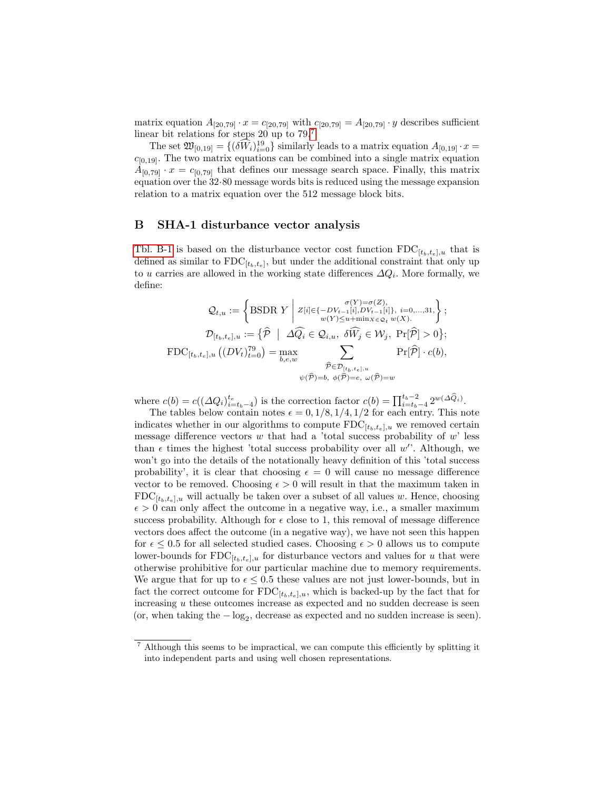matrix equation  $A_{[20,79]} \cdot x = c_{[20,79]}$  with  $c_{[20,79]} = A_{[20,79]} \cdot y$  describes sufficient linear bit relations for steps 20 up to  $79<sup>7</sup>$  $79<sup>7</sup>$ 

The set  $\mathfrak{W}_{[0,19]} = \{(\delta \widehat{W}_i)_{i=0}^{19} \}$  similarly leads to a matrix equation  $A_{[0,19]} \cdot x =$  $c_{[0,19]}$ . The two matrix equations can be combined into a single matrix equation  $A_{[0,79]} \cdot x = c_{[0,79]}$  that defines our message search space. Finally, this matrix equation over the 32·80 message words bits is reduced using the message expansion relation to a matrix equation over the 512 message block bits.

# <span id="page-15-0"></span>B SHA-1 disturbance vector analysis

[Tbl. B-1](#page-16-0) is based on the disturbance vector cost function  $FDC_{[t_b,t_e],u}$  that is defined as similar to  $FDC_{[t_b,t_e]}$ , but under the additional constraint that only up to u carries are allowed in the working state differences  $\Delta Q_i$ . More formally, we define:

$$
\mathcal{Q}_{t,u} := \left\{ \text{BSDR } Y \middle| Z[i] \in \{-DV_{t-1}[i], DV_{t-1}[i]\}, i=0,...,31, \right\};
$$
\n
$$
\mathcal{D}_{[t_b, t_c], u} := \left\{ \widehat{\mathcal{P}} \middle| \Delta \widehat{Q_i} \in \mathcal{Q}_{i,u}, \ \delta \widehat{W_j} \in \mathcal{W}_j, \ \Pr[\widehat{\mathcal{P}}] > 0 \right\};
$$
\n
$$
\text{FDC}_{[t_b, t_c], u} \left( (DV_t)_{t=0}^{\tau_9} \right) = \max_{b, e, w} \sum_{\widehat{\mathcal{P}} \in \mathcal{D}_{[t_b, t_c], u}} \Pr[\widehat{\mathcal{P}}] \cdot c(b),
$$
\n
$$
\widehat{\mathcal{P}} \in \mathcal{D}_{[t_b, t_c], u}
$$
\n
$$
\psi(\widehat{\mathcal{P}}) = b, \ \phi(\widehat{\mathcal{P}}) = e, \ \omega(\widehat{\mathcal{P}}) = w
$$

where  $c(b) = c((\Delta Q_i)_{i=t_b-4}^{t_e})$  is the correction factor  $c(b) = \prod_{i=t_b-4}^{t_b-2} 2^{w(\Delta \hat{Q}_i)}$ .

The tables below contain notes  $\epsilon = 0, 1/8, 1/4, 1/2$  for each entry. This note indicates whether in our algorithms to compute  $\text{FDC}_{[t_b,t_e],u}$  we removed certain message difference vectors  $w$  that had a 'total success probability of  $w$ ' less than  $\epsilon$  times the highest 'total success probability over all w'. Although, we won't go into the details of the notationally heavy definition of this 'total success probability', it is clear that choosing  $\epsilon = 0$  will cause no message difference vector to be removed. Choosing  $\epsilon > 0$  will result in that the maximum taken in  $FDC_{[t_b,t_e],u}$  will actually be taken over a subset of all values w. Hence, choosing  $\epsilon > 0$  can only affect the outcome in a negative way, i.e., a smaller maximum success probability. Although for  $\epsilon$  close to 1, this removal of message difference vectors does affect the outcome (in a negative way), we have not seen this happen for  $\epsilon \leq 0.5$  for all selected studied cases. Choosing  $\epsilon > 0$  allows us to compute lower-bounds for  $FDC_{[t_b,t_e],u}$  for disturbance vectors and values for u that were otherwise prohibitive for our particular machine due to memory requirements. We argue that for up to  $\epsilon \leq 0.5$  these values are not just lower-bounds, but in fact the correct outcome for  $FDC_{[t_b,t_e],u}$ , which is backed-up by the fact that for increasing  $u$  these outcomes increase as expected and no sudden decrease is seen (or, when taking the  $-\log_2$ , decrease as expected and no sudden increase is seen).

<span id="page-15-1"></span><sup>7</sup> Although this seems to be impractical, we can compute this efficiently by splitting it into independent parts and using well chosen representations.